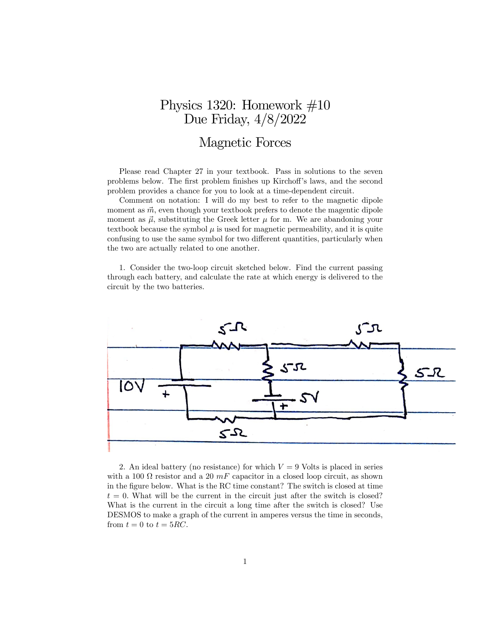## Physics 1320: Homework #10 Due Friday, 4/8/2022

## Magnetic Forces

Please read Chapter 27 in your textbook. Pass in solutions to the seven problems below. The first problem finishes up Kirchoff's laws, and the second problem provides a chance for you to look at a time-dependent circuit.

Comment on notation: I will do my best to refer to the magnetic dipole moment as  $\vec{m}$ , even though your textbook prefers to denote the magentic dipole moment as  $\vec{\mu}$ , substituting the Greek letter  $\mu$  for m. We are abandoning your textbook because the symbol  $\mu$  is used for magnetic permeability, and it is quite confusing to use the same symbol for two different quantities, particularly when the two are actually related to one another.

1. Consider the two-loop circuit sketched below. Find the current passing through each battery, and calculate the rate at which energy is delivered to the circuit by the two batteries.



2. An ideal battery (no resistance) for which  $V = 9$  Volts is placed in series with a 100  $\Omega$  resistor and a 20  $mF$  capacitor in a closed loop circuit, as shown in the figure below. What is the RC time constant? The switch is closed at time  $t = 0$ . What will be the current in the circuit just after the switch is closed? What is the current in the circuit a long time after the switch is closed? Use DESMOS to make a graph of the current in amperes versus the time in seconds, from  $t = 0$  to  $t = 5RC$ .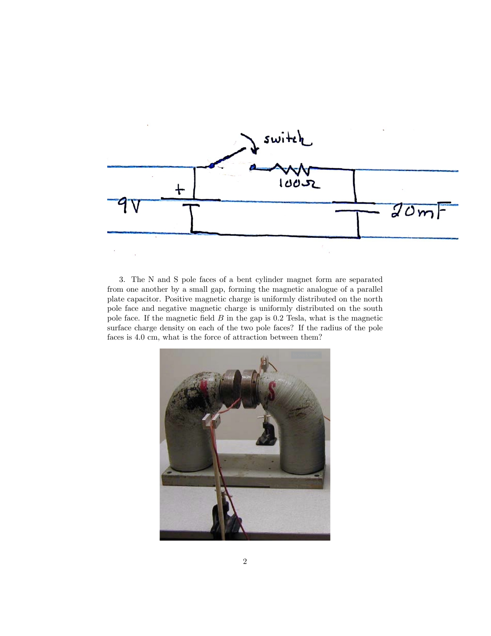

3. The N and S pole faces of a bent cylinder magnet form are separated from one another by a small gap, forming the magnetic analogue of a parallel plate capacitor. Positive magnetic charge is uniformly distributed on the north pole face and negative magnetic charge is uniformly distributed on the south pole face. If the magnetic field  $B$  in the gap is 0.2 Tesla, what is the magnetic surface charge density on each of the two pole faces? If the radius of the pole faces is 4.0 cm, what is the force of attraction between them?

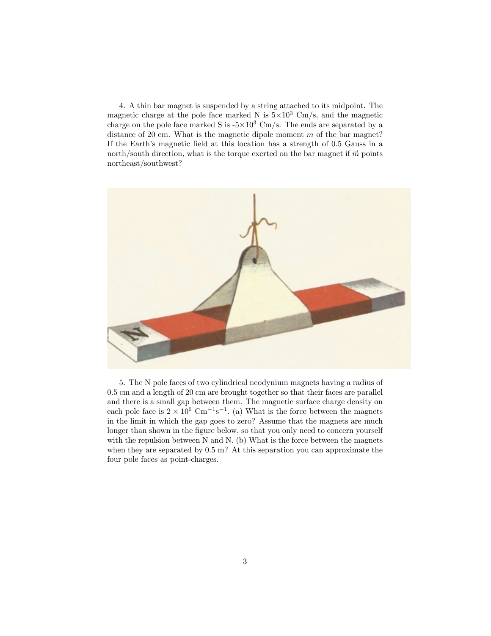4. A thin bar magnet is suspended by a string attached to its midpoint. The magnetic charge at the pole face marked N is  $5 \times 10^3$  Cm/s, and the magnetic charge on the pole face marked S is  $-5\times10^3$  Cm/s. The ends are separated by a distance of 20 cm. What is the magnetic dipole moment  $m$  of the bar magnet? If the Earth's magnetic field at this location has a strength of 0.5 Gauss in a north/south direction, what is the torque exerted on the bar magnet if  $\vec{m}$  points northeast/southwest?



5. The N pole faces of two cylindrical neodynium magnets having a radius of 0:5 cm and a length of 20 cm are brought together so that their faces are parallel and there is a small gap between them. The magnetic surface charge density on each pole face is  $2 \times 10^6$  Cm<sup>-1</sup>s<sup>-1</sup>. (a) What is the force between the magnets in the limit in which the gap goes to zero? Assume that the magnets are much longer than shown in the figure below, so that you only need to concern yourself with the repulsion between N and N. (b) What is the force between the magnets when they are separated by  $0.5$  m? At this separation you can approximate the four pole faces as point-charges.